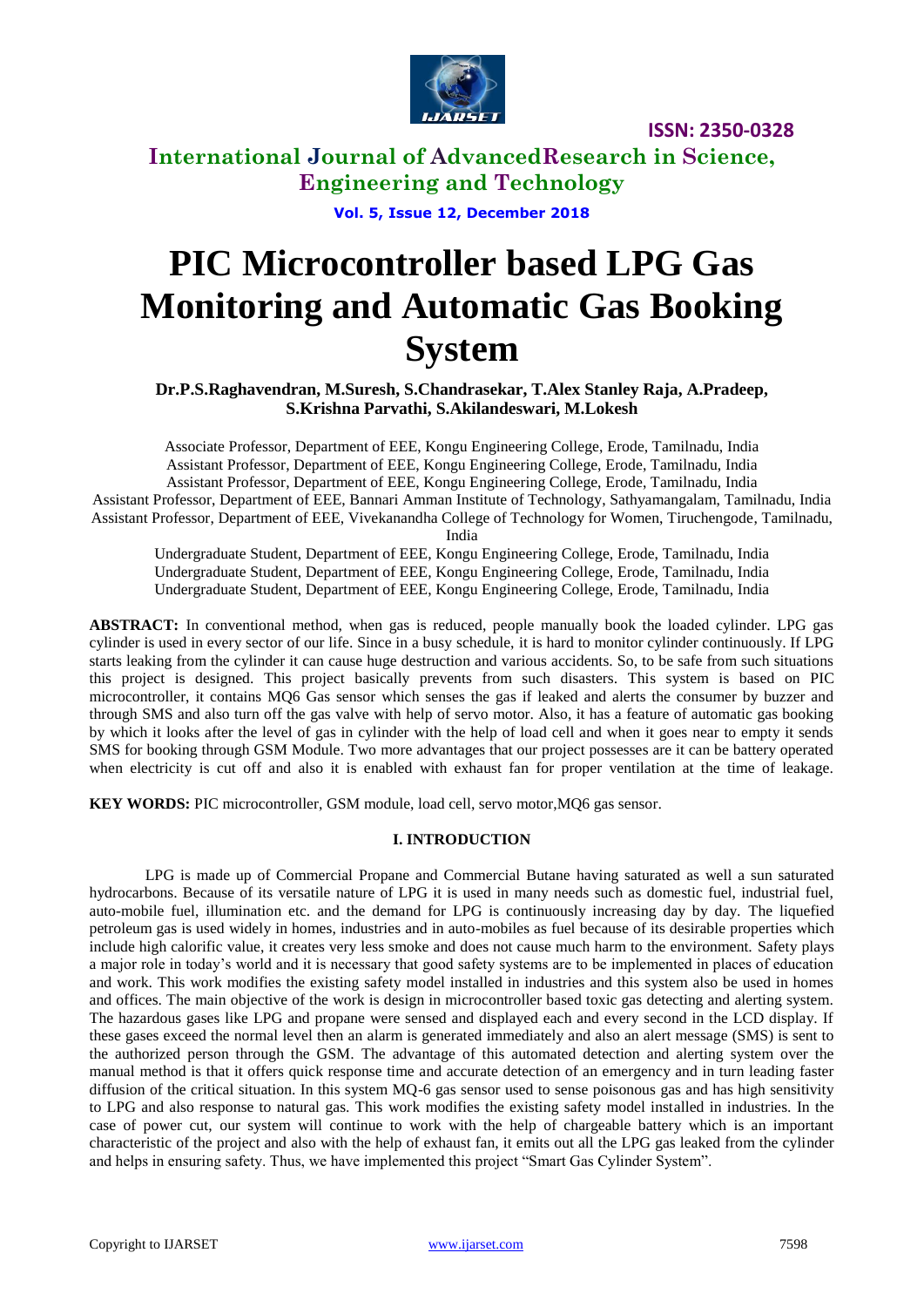

**International Journal of AdvancedResearch in Science, Engineering and Technology**

**Vol. 5, Issue 12, December 2018**

# **PIC Microcontroller based LPG Gas Monitoring and Automatic Gas Booking System**

**Dr.P.S.Raghavendran, M.Suresh, S.Chandrasekar, T.Alex Stanley Raja, A.Pradeep, S.Krishna Parvathi, S.Akilandeswari, M.Lokesh**

Associate Professor, Department of EEE, Kongu Engineering College, Erode, Tamilnadu, India Assistant Professor, Department of EEE, Kongu Engineering College, Erode, Tamilnadu, India Assistant Professor, Department of EEE, Kongu Engineering College, Erode, Tamilnadu, India Assistant Professor, Department of EEE, Bannari Amman Institute of Technology, Sathyamangalam, Tamilnadu, India Assistant Professor, Department of EEE, Vivekanandha College of Technology for Women, Tiruchengode, Tamilnadu,

India

Undergraduate Student, Department of EEE, Kongu Engineering College, Erode, Tamilnadu, India Undergraduate Student, Department of EEE, Kongu Engineering College, Erode, Tamilnadu, India Undergraduate Student, Department of EEE, Kongu Engineering College, Erode, Tamilnadu, India

**ABSTRACT:** In conventional method, when gas is reduced, people manually book the loaded cylinder. LPG gas cylinder is used in every sector of our life. Since in a busy schedule, it is hard to monitor cylinder continuously. If LPG starts leaking from the cylinder it can cause huge destruction and various accidents. So, to be safe from such situations this project is designed. This project basically prevents from such disasters. This system is based on PIC microcontroller, it contains MQ6 Gas sensor which senses the gas if leaked and alerts the consumer by buzzer and through SMS and also turn off the gas valve with help of servo motor. Also, it has a feature of automatic gas booking by which it looks after the level of gas in cylinder with the help of load cell and when it goes near to empty it sends SMS for booking through GSM Module. Two more advantages that our project possesses are it can be battery operated when electricity is cut off and also it is enabled with exhaust fan for proper ventilation at the time of leakage.

**KEY WORDS:** PIC microcontroller, GSM module, load cell, servo motor,MQ6 gas sensor.

#### **I. INTRODUCTION**

LPG is made up of Commercial Propane and Commercial Butane having saturated as well a sun saturated hydrocarbons. Because of its versatile nature of LPG it is used in many needs such as domestic fuel, industrial fuel, auto-mobile fuel, illumination etc. and the demand for LPG is continuously increasing day by day. The liquefied petroleum gas is used widely in homes, industries and in auto-mobiles as fuel because of its desirable properties which include high calorific value, it creates very less smoke and does not cause much harm to the environment. Safety plays a major role in today's world and it is necessary that good safety systems are to be implemented in places of education and work. This work modifies the existing safety model installed in industries and this system also be used in homes and offices. The main objective of the work is design in microcontroller based toxic gas detecting and alerting system. The hazardous gases like LPG and propane were sensed and displayed each and every second in the LCD display. If these gases exceed the normal level then an alarm is generated immediately and also an alert message (SMS) is sent to the authorized person through the GSM. The advantage of this automated detection and alerting system over the manual method is that it offers quick response time and accurate detection of an emergency and in turn leading faster diffusion of the critical situation. In this system MQ-6 gas sensor used to sense poisonous gas and has high sensitivity to LPG and also response to natural gas. This work modifies the existing safety model installed in industries. In the case of power cut, our system will continue to work with the help of chargeable battery which is an important characteristic of the project and also with the help of exhaust fan, it emits out all the LPG gas leaked from the cylinder and helps in ensuring safety. Thus, we have implemented this project "Smart Gas Cylinder System".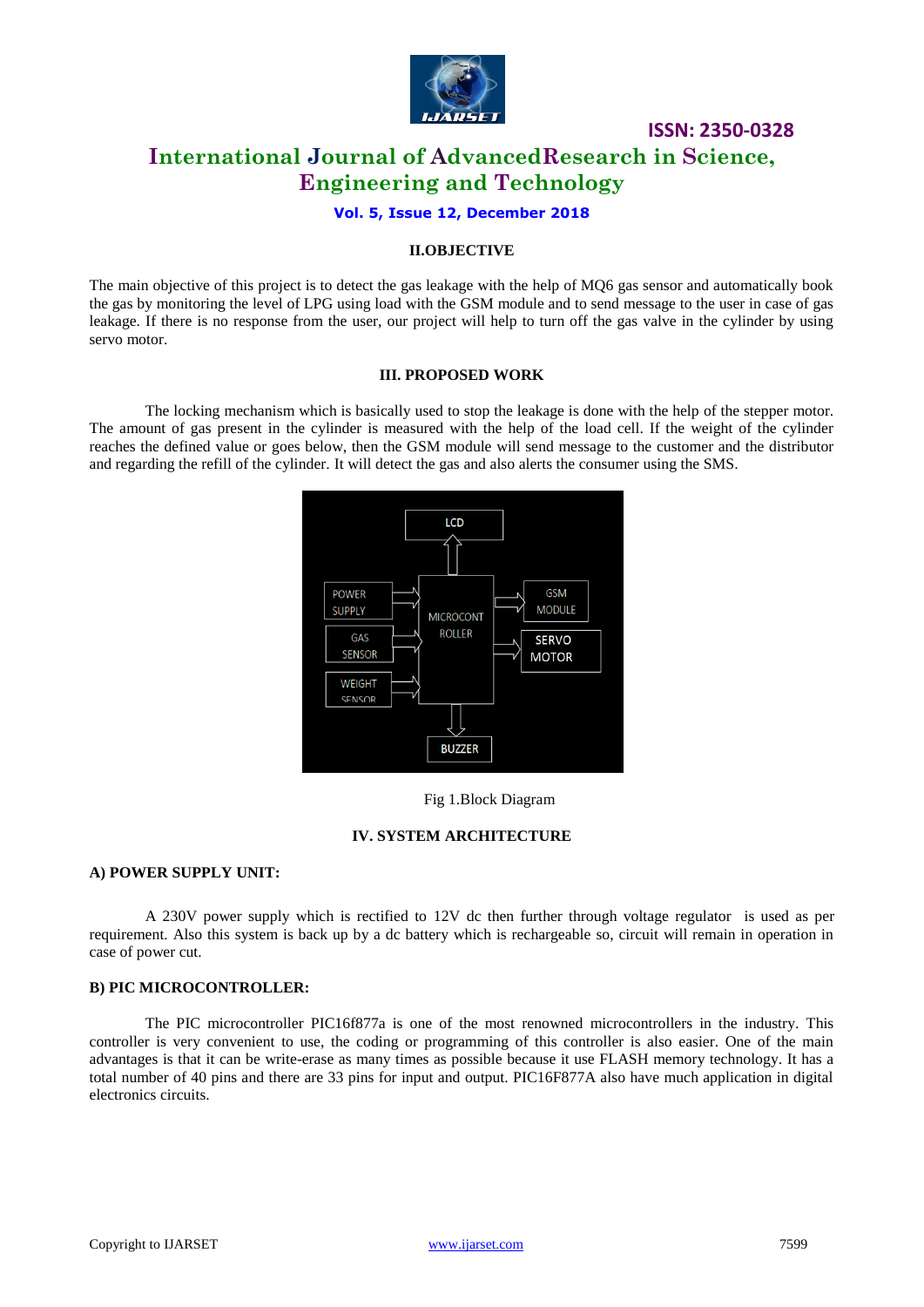

### **ISSN: 2350-0328 International Journal of AdvancedResearch in Science, Engineering and Technology**

#### **Vol. 5, Issue 12, December 2018**

#### **II.OBJECTIVE**

The main objective of this project is to detect the gas leakage with the help of MQ6 gas sensor and automatically book the gas by monitoring the level of LPG using load with the GSM module and to send message to the user in case of gas leakage. If there is no response from the user, our project will help to turn off the gas valve in the cylinder by using servo motor.

#### **III. PROPOSED WORK**

The locking mechanism which is basically used to stop the leakage is done with the help of the stepper motor. The amount of gas present in the cylinder is measured with the help of the load cell. If the weight of the cylinder reaches the defined value or goes below, then the GSM module will send message to the customer and the distributor and regarding the refill of the cylinder. It will detect the gas and also alerts the consumer using the SMS.



Fig 1.Block Diagram

#### **IV. SYSTEM ARCHITECTURE**

#### **A) POWER SUPPLY UNIT:**

A 230V power supply which is rectified to 12V dc then further through voltage regulator is used as per requirement. Also this system is back up by a dc battery which is rechargeable so, circuit will remain in operation in case of power cut.

#### **B) PIC MICROCONTROLLER:**

The PIC microcontroller PIC16f877a is one of the most renowned microcontrollers in the industry. This controller is very convenient to use, the coding or programming of this controller is also easier. One of the main advantages is that it can be write-erase as many times as possible because it use FLASH memory technology. It has a total number of 40 pins and there are 33 pins for input and output. PIC16F877A also have much application in digital electronics circuits.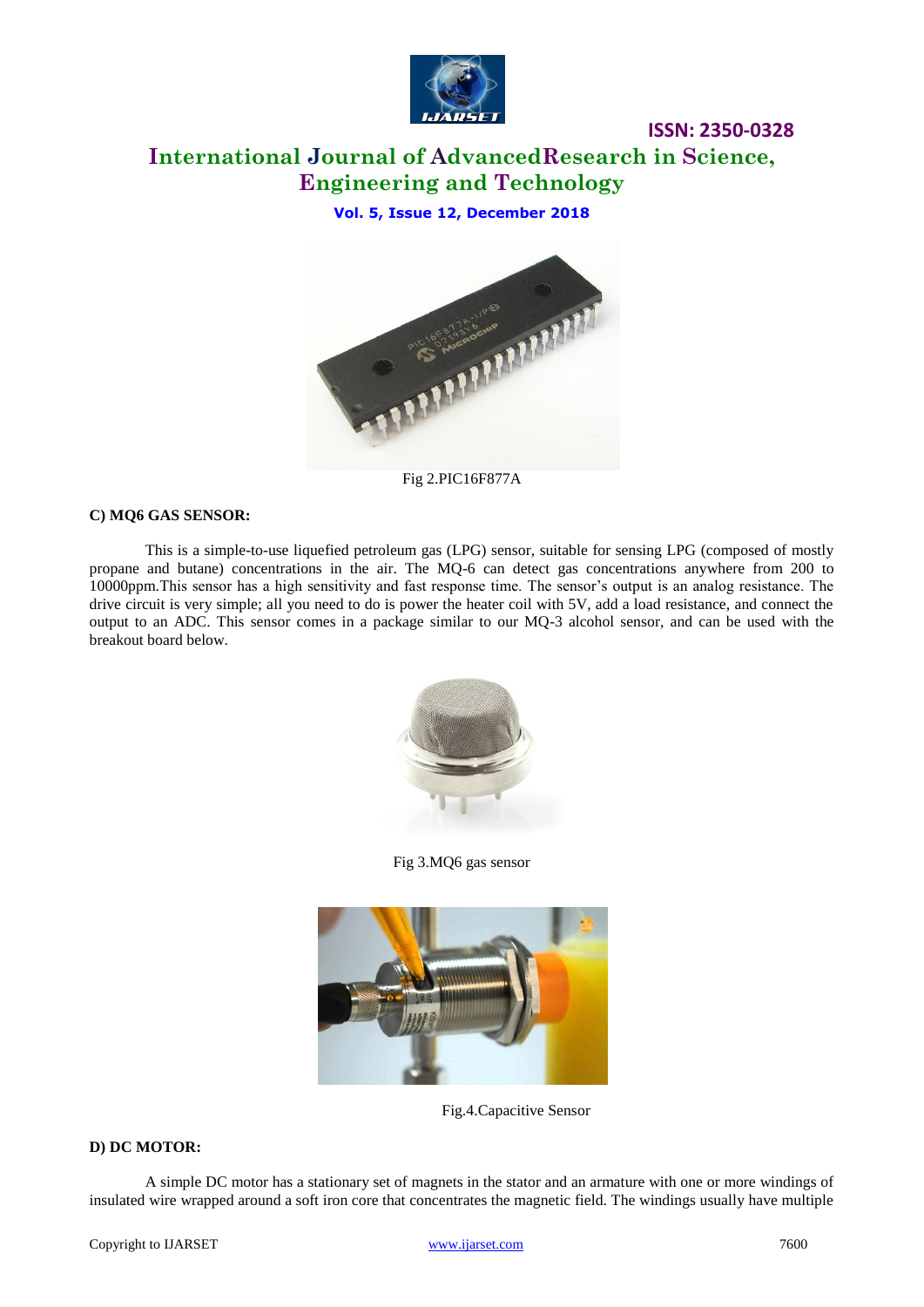

## **International Journal of AdvancedResearch in Science, Engineering and Technology**

**Vol. 5, Issue 12, December 2018**



Fig 2.PIC16F877A

#### **C) MQ6 GAS SENSOR:**

This is a simple-to-use liquefied petroleum gas (LPG) sensor, suitable for sensing LPG (composed of mostly propane and butane) concentrations in the air. The MQ-6 can detect gas concentrations anywhere from 200 to 10000ppm.This sensor has a high sensitivity and fast response time. The sensor's output is an analog resistance. The drive circuit is very simple; all you need to do is power the heater coil with 5V, add a load resistance, and connect the output to an ADC. This sensor comes in a package similar to our MQ-3 alcohol sensor, and can be used with the breakout board below.



Fig 3.MQ6 gas sensor



Fig.4.Capacitive Sensor

#### **D) DC MOTOR:**

A simple DC motor has a stationary set of magnets in the stator and an armature with one or more windings of insulated wire wrapped around a soft iron core that concentrates the magnetic field. The windings usually have multiple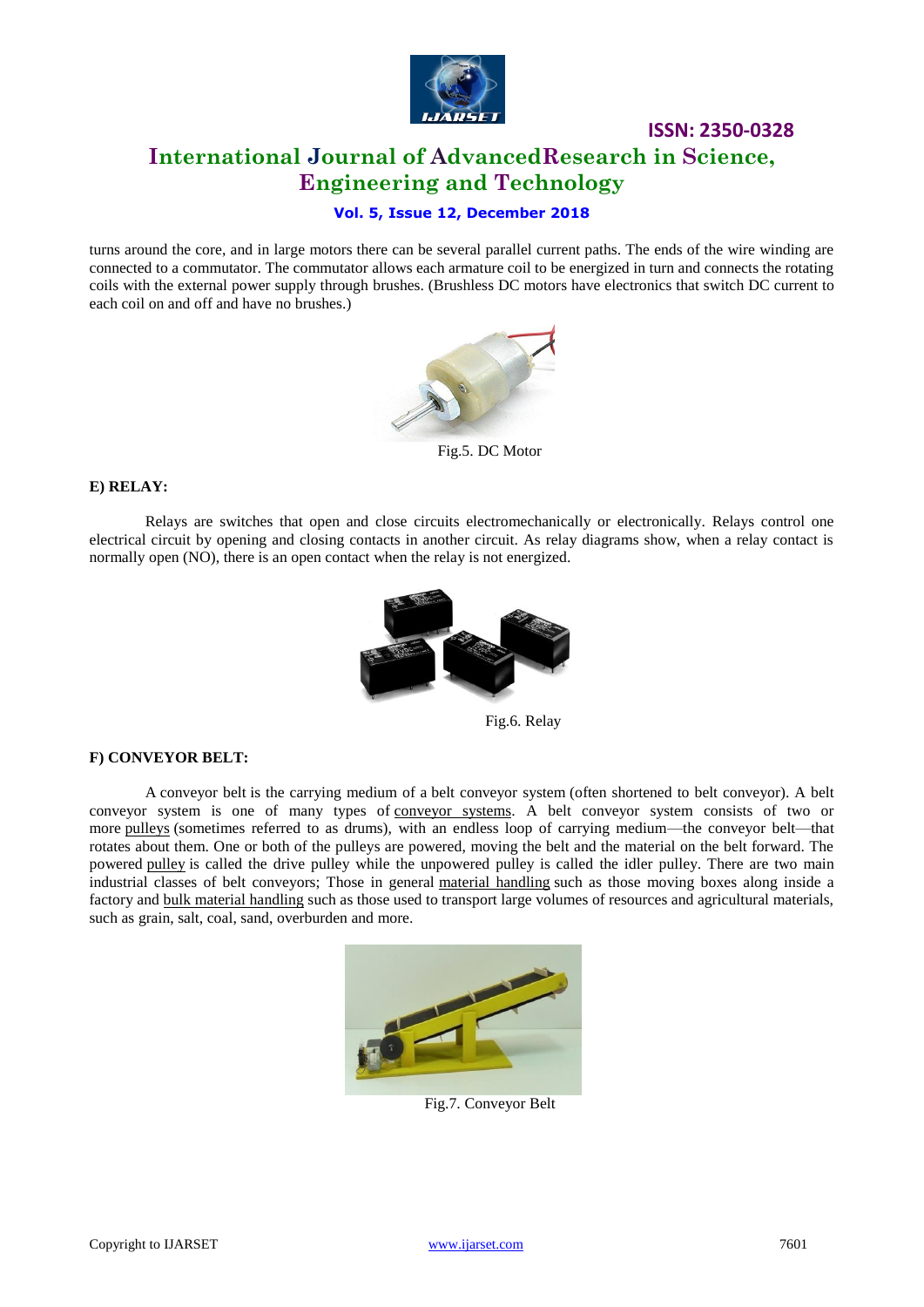

### **ISSN: 2350-0328 International Journal of AdvancedResearch in Science, Engineering and Technology**

### **Vol. 5, Issue 12, December 2018**

turns around the core, and in large motors there can be several parallel current paths. The ends of the wire winding are connected to a commutator. The commutator allows each armature coil to be energized in turn and connects the rotating coils with the external power supply through brushes. (Brushless DC motors have electronics that switch DC current to each coil on and off and have no brushes.)



Fig.5. DC Motor

#### **E) RELAY:**

Relays are switches that open and close circuits electromechanically or electronically. Relays control one electrical circuit by opening and closing contacts in another circuit. As relay diagrams show, when a relay contact is normally open (NO), there is an open contact when the relay is not energized.



Fig.6. Relay

#### **F) CONVEYOR BELT:**

A conveyor belt is the carrying medium of a belt conveyor system (often shortened to belt conveyor). A belt conveyor system is one of many types of [conveyor systems.](https://en.wikipedia.org/wiki/Conveyor_systems) A belt conveyor system consists of two or more [pulleys](https://en.wikipedia.org/wiki/Conveyor_pulley) (sometimes referred to as drums), with an endless loop of carrying medium—the conveyor belt—that rotates about them. One or both of the pulleys are powered, moving the belt and the material on the belt forward. The powered [pulley](https://en.wikipedia.org/wiki/Conveyor_pulley) is called the drive pulley while the unpowered pulley is called the idler pulley. There are two main industrial classes of belt conveyors; Those in general [material handling](https://en.wikipedia.org/wiki/Material_handling) such as those moving boxes along inside a factory and [bulk material handling](https://en.wikipedia.org/wiki/Bulk_material_handling) such as those used to transport large volumes of resources and agricultural materials, such as grain, salt, coal, sand, overburden and more.



Fig.7. Conveyor Belt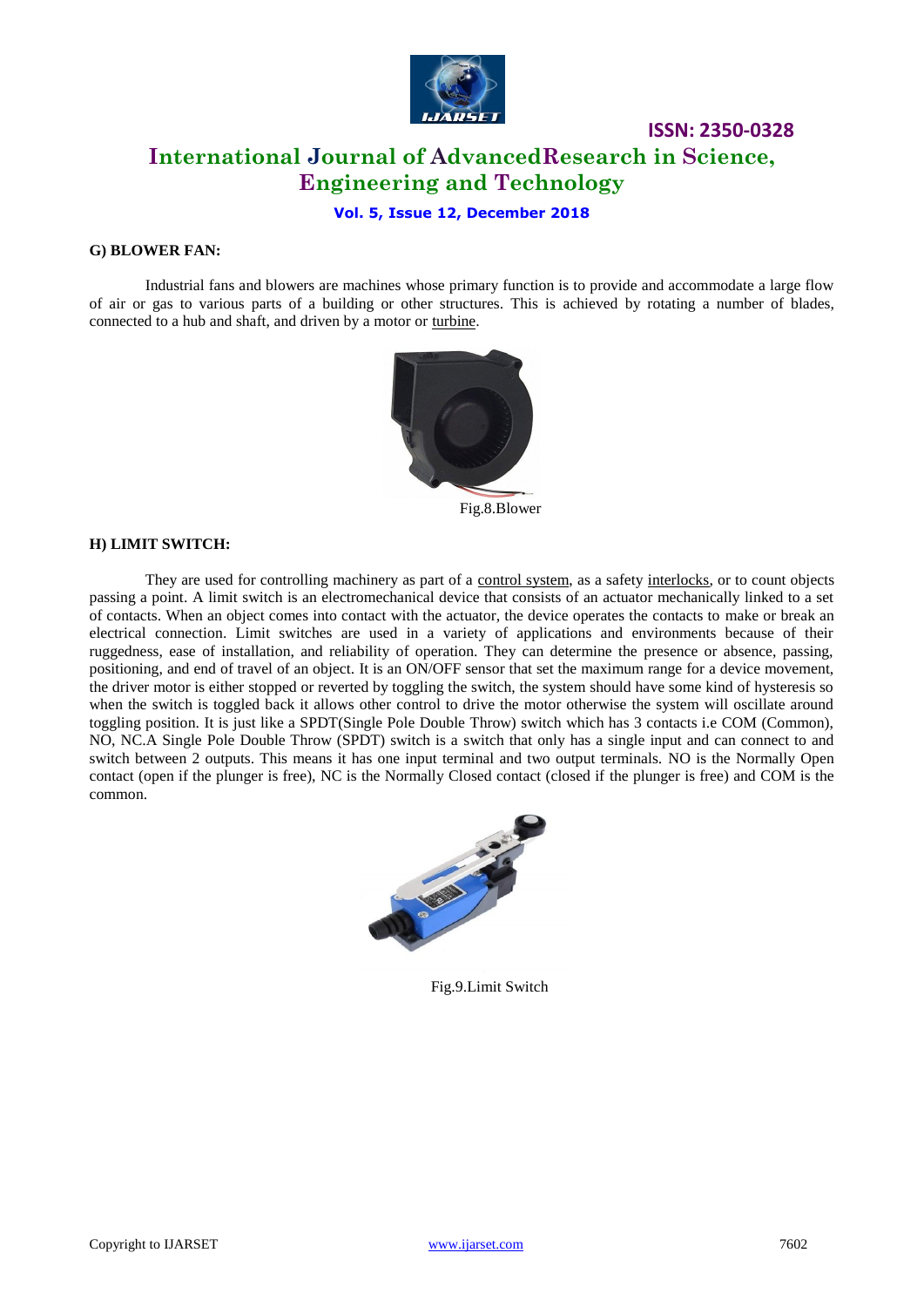

### **ISSN: 2350-0328 International Journal of AdvancedResearch in Science, Engineering and Technology**

**Vol. 5, Issue 12, December 2018**

#### **G) BLOWER FAN:**

Industrial fans and blowers are machines whose primary function is to provide and accommodate a large flow of air or gas to various parts of a building or other structures. This is achieved by rotating a number of blades, connected to a hub and shaft, and driven by a motor or [turbine.](https://en.wikipedia.org/wiki/Turbine)



Fig.8.Blower

#### **H) LIMIT SWITCH:**

They are used for controlling machinery as part of a [control system,](https://en.wikipedia.org/wiki/Control_system) as a safety [interlocks,](https://en.wikipedia.org/wiki/Interlock_(engineering)) or to count objects passing a point. A limit switch is an electromechanical device that consists of an actuator mechanically linked to a set of contacts. When an object comes into contact with the actuator, the device operates the contacts to make or break an electrical connection. Limit switches are used in a variety of applications and environments because of their ruggedness, ease of installation, and reliability of operation. They can determine the presence or absence, passing, positioning, and end of travel of an object. It is an ON/OFF sensor that set the maximum range for a device movement, the driver motor is either stopped or reverted by toggling the switch, the system should have some kind of hysteresis so when the switch is toggled back it allows other control to drive the motor otherwise the system will oscillate around toggling position. It is just like a SPDT(Single Pole Double Throw) switch which has 3 contacts i.e COM (Common), NO, NC.A Single Pole Double Throw (SPDT) switch is a switch that only has a single input and can connect to and switch between 2 outputs. This means it has one input terminal and two output terminals. NO is the Normally Open contact (open if the plunger is free), NC is the Normally Closed contact (closed if the plunger is free) and COM is the common.



Fig.9.Limit Switch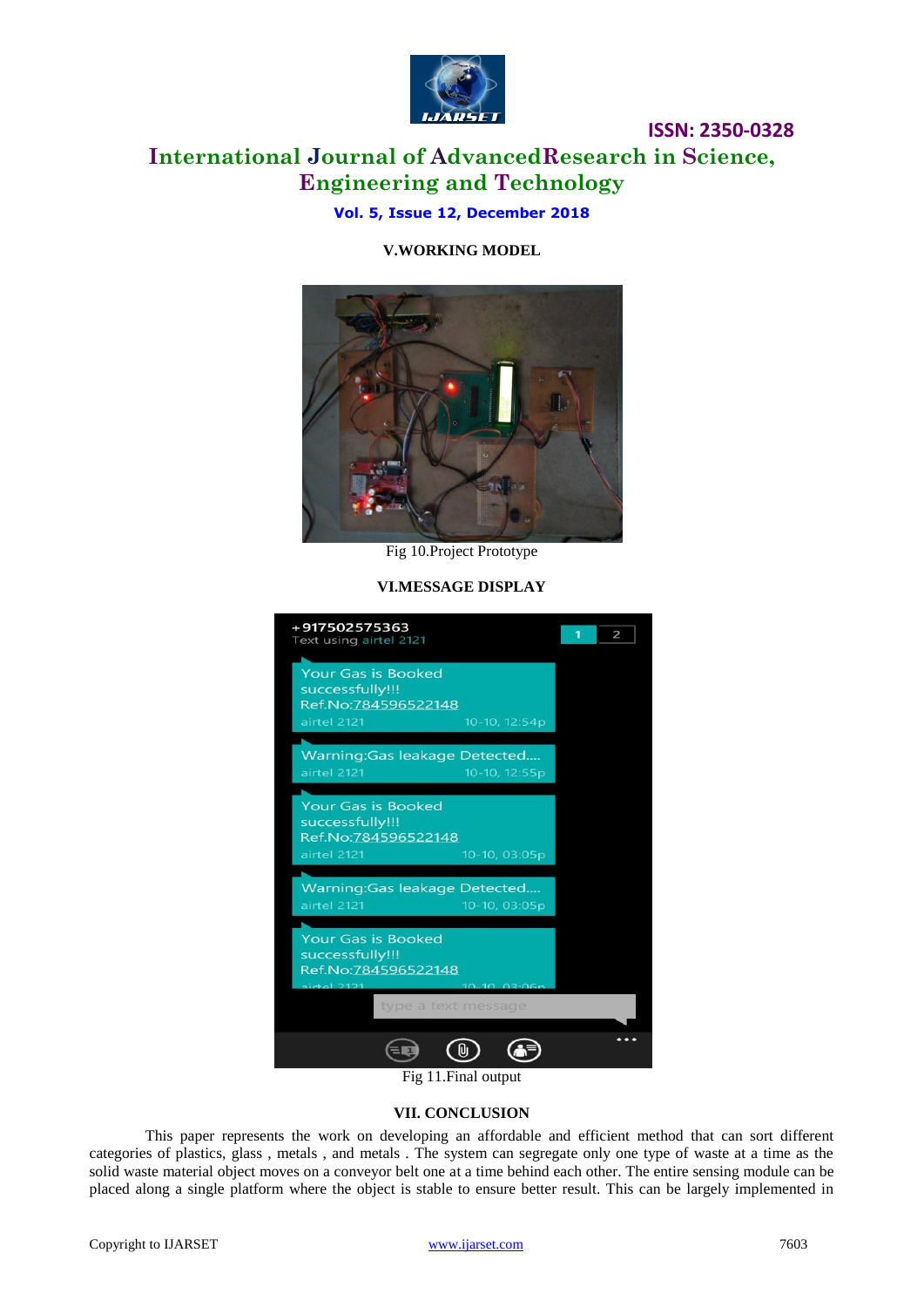

### **International Journal of AdvancedResearch in Science, Engineering and Technology**

**Vol. 5, Issue 12, December 2018**

#### **V.WORKING MODEL**



Fig 10.Project Prototype

#### **VI.MESSAGE DISPLAY**



#### **VII. CONCLUSION**

This paper represents the work on developing an affordable and efficient method that can sort different categories of plastics, glass , metals , and metals . The system can segregate only one type of waste at a time as the solid waste material object moves on a conveyor belt one at a time behind each other. The entire sensing module can be placed along a single platform where the object is stable to ensure better result. This can be largely implemented in